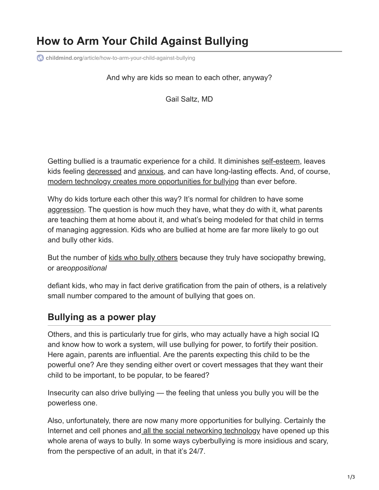# **How to Arm Your Child Against Bullying**

**childmind.org**[/article/how-to-arm-your-child-against-bullying](https://childmind.org/article/how-to-arm-your-child-against-bullying/)

And why are kids so mean to each other, anyway?

Gail Saltz, MD

Getting bullied is a traumatic experience for a child. It diminishes [self-esteem](https://childmind.org/topics/concerns/confidence-self-esteem/), leaves kids feeling [depressed](https://childmind.org/topics/concerns/depression/) and [anxious,](https://childmind.org/guide/anxiety-basics/) and can have long-lasting effects. And, of course, [modern technology creates more opportunities for bullying](https://childmind.org/article/help-kids-deal-cyberbullying/) than ever before.

Why do kids torture each other this way? It's normal for children to have some [aggression.](https://childmind.org/article/aggression-in-children-causes/) The question is how much they have, what they do with it, what parents are teaching them at home about it, and what's being modeled for that child in terms of managing aggression. Kids who are bullied at home are far more likely to go out and bully other kids.

But the number of [kids who bully others](https://childmind.org/article/what-to-do-if-your-child-is-bullying/) because they truly have sociopathy brewing, or are*oppositional*

defiant kids, who may in fact derive gratification from the pain of others, is a relatively small number compared to the amount of bullying that goes on.

# **Bullying as a power play**

Others, and this is particularly true for girls, who may actually have a high social IQ and know how to work a system, will use bullying for power, to fortify their position. Here again, parents are influential. Are the parents expecting this child to be the powerful one? Are they sending either overt or covert messages that they want their child to be important, to be popular, to be feared?

Insecurity can also drive bullying — the feeling that unless you bully you will be the powerless one.

Also, unfortunately, there are now many more opportunities for bullying. Certainly the Internet and cell phones and [all the social networking technology](https://childmind.org/article/how-using-social-media-affects-teenagers/) have opened up this whole arena of ways to bully. In some ways cyberbullying is more insidious and scary, from the perspective of an adult, in that it's 24/7.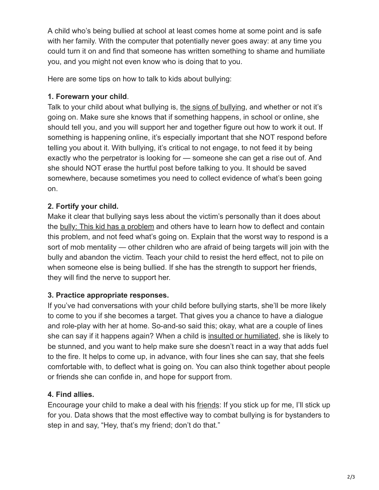A child who's being bullied at school at least comes home at some point and is safe with her family. With the computer that potentially never goes away: at any time you could turn it on and find that someone has written something to shame and humiliate you, and you might not even know who is doing that to you.

Here are some tips on how to talk to kids about bullying:

## **1. Forewarn your child**.

Talk to your child about what bullying is, [the signs of bullying,](https://childmind.org/article/how-to-know-if-your-child-is-being-bullied/) and whether or not it's going on. Make sure she knows that if something happens, in school or online, she should tell you, and you will support her and together figure out how to work it out. If something is happening online, it's especially important that she NOT respond before telling you about it. With bullying, it's critical to not engage, to not feed it by being exactly who the perpetrator is looking for — someone she can get a rise out of. And she should NOT erase the hurtful post before talking to you. It should be saved somewhere, because sometimes you need to collect evidence of what's been going on.

# **2. Fortify your child.**

Make it clear that bullying says less about the victim's personally than it does about the [bully: This kid has a problem](https://childmind.org/article/what-to-do-if-your-child-is-bullying/) and others have to learn how to deflect and contain this problem, and not feed what's going on. Explain that the worst way to respond is a sort of mob mentality — other children who are afraid of being targets will join with the bully and abandon the victim. Teach your child to resist the herd effect, not to pile on when someone else is being bullied. If she has the strength to support her friends, they will find the nerve to support her.

## **3. Practice appropriate responses.**

If you've had conversations with your child before bullying starts, she'll be more likely to come to you if she becomes a target. That gives you a chance to have a dialogue and role-play with her at home. So-and-so said this; okay, what are a couple of lines she can say if it happens again? When a child is [insulted or humiliated,](https://childmind.org/article/help-kids-deal-embarrassment/) she is likely to be stunned, and you want to help make sure she doesn't react in a way that adds fuel to the fire. It helps to come up, in advance, with four lines she can say, that she feels comfortable with, to deflect what is going on. You can also think together about people or friends she can confide in, and hope for support from.

## **4. Find allies.**

Encourage your child to make a deal with his [friends:](https://childmind.org/topics/concerns/friends-and-socializing/) If you stick up for me, I'll stick up for you. Data shows that the most effective way to combat bullying is for bystanders to step in and say, "Hey, that's my friend; don't do that."